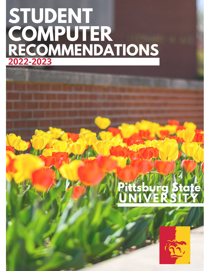### **STUDENT COMPUTER RECOMMENDATIONS 2022-2023**

## **Pittsburg State UNIVERSITY**

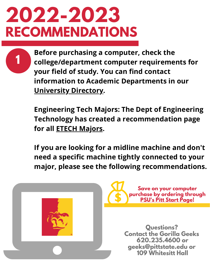**1**

**Before purchasing a computer, check the college/department computer requirements for your field of study. You can find contact information to Academic Departments in our [University](https://psuapps-lb.pittstate.edu/UniversityDirectory/Directory/) Directory.**

**Engineering Tech Majors: The Dept of Engineering Technology has created a recommendation page for all ETECH [Majors](https://www.pittstate.edu/etech/student-computer-recommendations.html).**

**If you are looking for a midline machine and don't need a specific machine tightly connected to your major, please see the following recommendations.**



**Save on your computer purchase by ordering through PSU's Pitt Start [Page!](https://www.pittstate.edu/it/pitt-start/computer-hardware.html)**

**Questions? Contact the Gorilla Geeks 620.235.4600 or geeks@pittstate.edu or 109 Whitesitt Hall**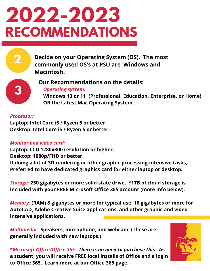**Decide on your Operating System (OS). The most commonly used OS's at PSU are Windows and Macintosh.**

**3**

**2**

#### **Our Recommendations on the details:**

*Operating system:*

**Windows 10 or 11 (Professional, Education, Enterprise, or Home) OR the Latest Mac Operating System.**

#### *Processor:*

**Laptop: Intel Core i5 / Ryzen 5 or better. Desktop: Intel Core i5 / Ryzen 5 or better.**

#### *Monitor and video card:*

**Laptop: LCD 1280x800 resolution or higher.**

**Desktop: 1080p/FHD or better.**

**If doing a lot of 3D rendering or other graphic processing-intensive tasks, Preferred to have dedicated graphics card for either laptop or desktop.**

*Storage:* **250 gigabytes or more solid-state drive. \*1TB of cloud storage is included with your FREE Microsoft Office 365 account (more info below).**

*Memory:* **(RAM) 8 gigabytes or more for typical use. 16 gigabytes or more for AutoCAD, Adobe Creative Suite applications, and other graphic and videointensive applications.**

*Multimedia:* **Speakers, microphone, and webcam. (These are generally included with new laptops.)**



**\****Microsoft Office/Office 365: There is no need to purchase this.* **As a student, you will receive FREE local installs of Office and a login to Office 365. Learn more at our Office 365 page.**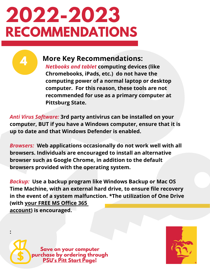**4**

**:**

### **More Key Recommendations:**

*Netbooks and tablet* **computing devices (like Chromebooks, iPads, etc.) do not have the computing power of a normal laptop or desktop computer. For this reason, these tools are not recommended for use as a primary computer at Pittsburg State.**

*Anti Virus Software:* **3rd party antivirus can be installed on your computer, BUT if you have a Windows computer, ensure that it is up to date and that Windows Defender is enabled.**

*Browsers:* **Web applications occasionally do not work well with all browsers. Individuals are encouraged to install an alternative browser such as Google Chrome, in addition to the default browsers provided with the operating system.**

*Backup:* **Use a backup program like Windows Backup or Mac OS Time Machine, with an external hard drive, to ensure file recovery in the event of a system malfunction. \*The utilization of One Drive (with your FREE MS [Office](https://www.pittstate.edu/it/pitt-start/ms-office.html) 36[5](https://www.pittstate.edu/it/pitt-start/ms-office.html) [account\)](https://www.pittstate.edu/it/pitt-start/ms-office.html) is encouraged.**